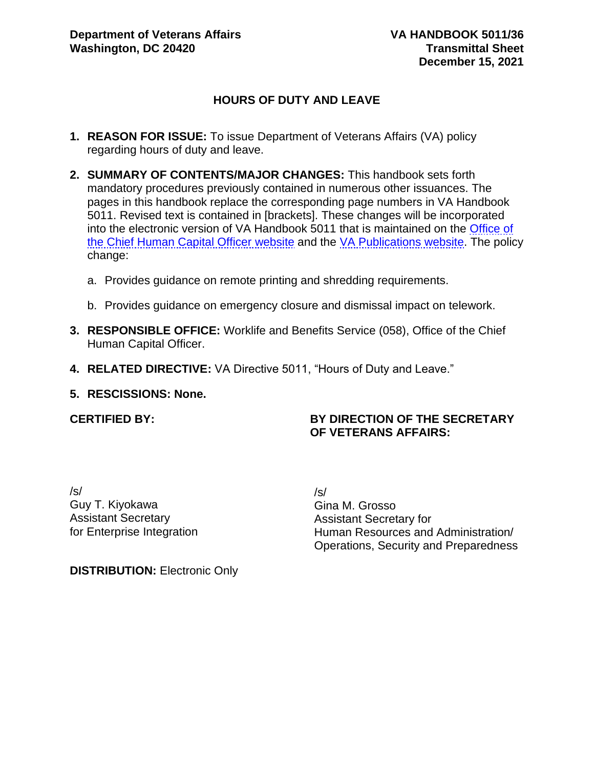# **HOURS OF DUTY AND LEAVE**

- **1. REASON FOR ISSUE:** To issue Department of Veterans Affairs (VA) policy regarding hours of duty and leave.
- **2. SUMMARY OF CONTENTS/MAJOR CHANGES:** This handbook sets forth mandatory procedures previously contained in numerous other issuances. The pages in this handbook replace the corresponding page numbers in VA Handbook 5011. Revised text is contained in [brackets]. These changes will be incorporated into the electronic version of VA Handbook 5011 that is maintained on the [Office of](https://vaww.va.gov/OHRM/HRLibrary/HRLibrary.asp)  [the Chief Human Capital Officer website](https://vaww.va.gov/OHRM/HRLibrary/HRLibrary.asp) and the [VA Publications website.](https://www.va.gov/vapubs/search_action.cfm?dType=2) The policy change:
	- a. Provides guidance on remote printing and shredding requirements.
	- b. Provides guidance on emergency closure and dismissal impact on telework.
- **3. RESPONSIBLE OFFICE:** Worklife and Benefits Service (058), Office of the Chief Human Capital Officer.
- **4. RELATED DIRECTIVE:** VA Directive 5011, "Hours of Duty and Leave."

#### **5. RESCISSIONS: None.**

#### **CERTIFIED BY:**

#### **BY DIRECTION OF THE SECRETARY OF VETERANS AFFAIRS:**

/s/ Guy T. Kiyokawa Assistant Secretary for Enterprise Integration /s/ Gina M. Grosso Assistant Secretary for Human Resources and Administration/ Operations, Security and Preparedness

**DISTRIBUTION: Electronic Only**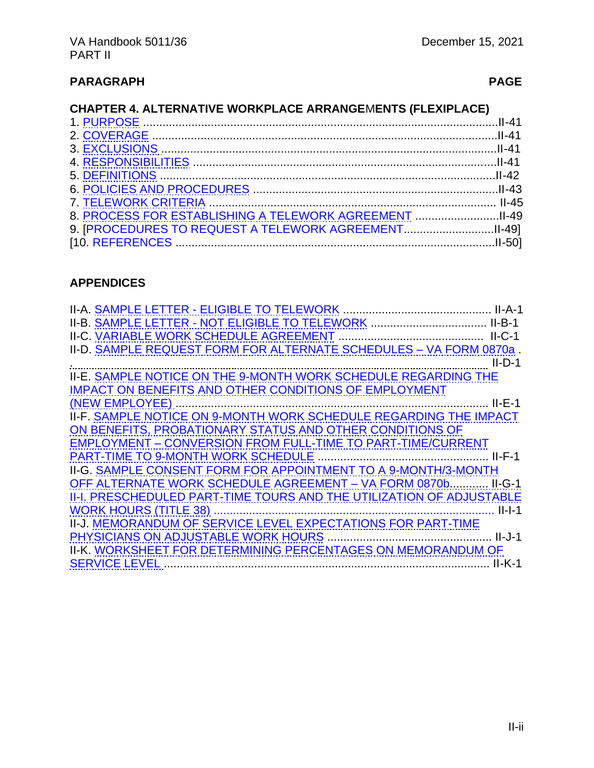# **CHAPTER 4. ALTERNATIVE WORKPLACE ARRANGE**M**ENTS (FLEXIPLACE)**

| 8. PROCESS FOR ESTABLISHING A TELEWORK AGREEMENT II-49 |  |
|--------------------------------------------------------|--|
|                                                        |  |
|                                                        |  |
|                                                        |  |

# **APPENDICES**

| II-D. SAMPLE REQUEST FORM FOR ALTERNATE SCHEDULES - VA FORM 0870a.                      |  |
|-----------------------------------------------------------------------------------------|--|
| II<br>II-E. <u>SAMPLE NOTICE ON THE 9-MONTH WORK SCHEDULE REGARDING THE</u><br>$II-D-1$ |  |
|                                                                                         |  |
| <b>IMPACT ON BENEFITS AND OTHER CONDITIONS OF EMPLOYMENT</b>                            |  |
|                                                                                         |  |
| II-F. SAMPLE NOTICE ON 9-MONTH WORK SCHEDULE REGARDING THE IMPACT                       |  |
| ON BENEFITS, PROBATIONARY STATUS AND OTHER CONDITIONS OF                                |  |
| <b>EMPLOYMENT - CONVERSION FROM FULL-TIME TO PART-TIME/CURRENT</b>                      |  |
|                                                                                         |  |
| II-G. SAMPLE CONSENT FORM FOR APPOINTMENT TO A 9-MONTH/3-MONTH                          |  |
| OFF ALTERNATE WORK SCHEDULE AGREEMENT - VA FORM 0870b II-G-1                            |  |
| II-I. PRESCHEDULED PART-TIME TOURS AND THE UTILIZATION OF ADJUSTABLE                    |  |
|                                                                                         |  |
| II-J. MEMORANDUM OF SERVICE LEVEL EXPECTATIONS FOR PART-TIME                            |  |
|                                                                                         |  |
| II-K. WORKSHEET FOR DETERMINING PERCENTAGES ON MEMORANDUM OF                            |  |
|                                                                                         |  |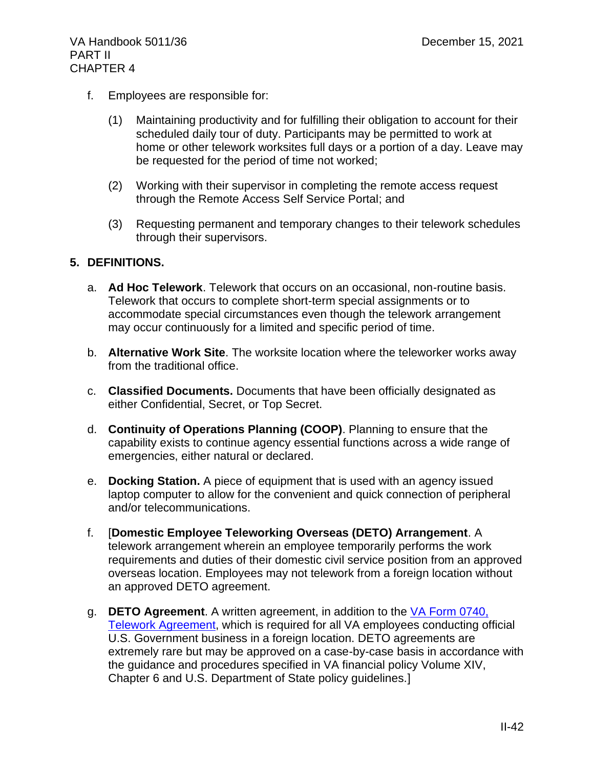- f. Employees are responsible for:
	- (1) Maintaining productivity and for fulfilling their obligation to account for their scheduled daily tour of duty. Participants may be permitted to work at home or other telework worksites full days or a portion of a day. Leave may be requested for the period of time not worked;
	- (2) Working with their supervisor in completing the remote access request through the Remote Access Self Service Portal; and
	- (3) Requesting permanent and temporary changes to their telework schedules through their supervisors.

## **5. DEFINITIONS.**

- a. **Ad Hoc Telework**. Telework that occurs on an occasional, non-routine basis. Telework that occurs to complete short-term special assignments or to accommodate special circumstances even though the telework arrangement may occur continuously for a limited and specific period of time.
- b. **Alternative Work Site**. The worksite location where the teleworker works away from the traditional office.
- c. **Classified Documents.** Documents that have been officially designated as either Confidential, Secret, or Top Secret.
- d. **Continuity of Operations Planning (COOP)**. Planning to ensure that the capability exists to continue agency essential functions across a wide range of emergencies, either natural or declared.
- e. **Docking Station.** A piece of equipment that is used with an agency issued laptop computer to allow for the convenient and quick connection of peripheral and/or telecommunications.
- f. [**Domestic Employee Teleworking Overseas (DETO) Arrangement**. A telework arrangement wherein an employee temporarily performs the work requirements and duties of their domestic civil service position from an approved overseas location. Employees may not telework from a foreign location without an approved DETO agreement.
- g. **DETO Agreement**. A written agreement, in addition to the [VA Form 0740,](https://vaww.va.gov/vaforms/va/pdf/VA0740.pdf)  [Telework Agreement,](https://vaww.va.gov/vaforms/va/pdf/VA0740.pdf) which is required for all VA employees conducting official U.S. Government business in a foreign location. DETO agreements are extremely rare but may be approved on a case-by-case basis in accordance with the guidance and procedures specified in VA financial policy Volume XIV, Chapter 6 and U.S. Department of State policy guidelines.]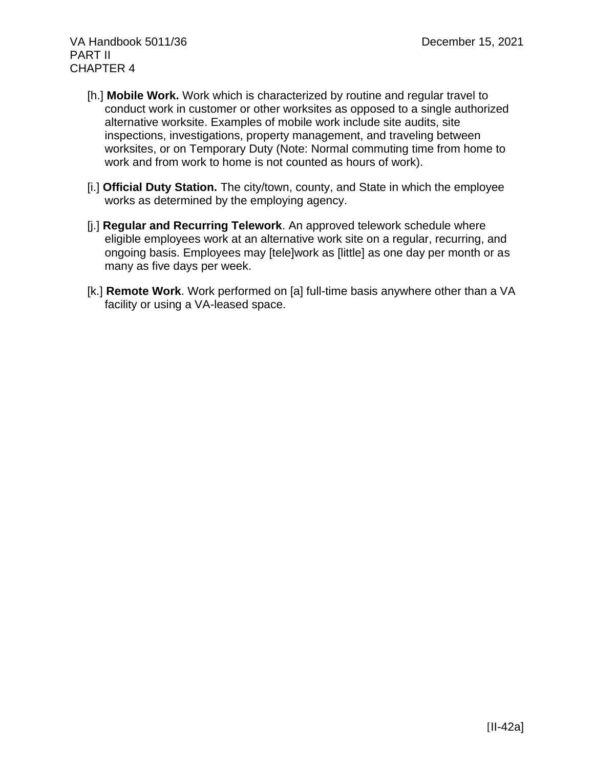- [h.] **Mobile Work.** Work which is characterized by routine and regular travel to conduct work in customer or other worksites as opposed to a single authorized alternative worksite. Examples of mobile work include site audits, site inspections, investigations, property management, and traveling between worksites, or on Temporary Duty (Note: Normal commuting time from home to work and from work to home is not counted as hours of work).
- [i.] **Official Duty Station.** The city/town, county, and State in which the employee works as determined by the employing agency.
- [j.] **Regular and Recurring Telework**. An approved telework schedule where eligible employees work at an alternative work site on a regular, recurring, and ongoing basis. Employees may [tele]work as [little] as one day per month or as many as five days per week.
- [k.] **Remote Work**. Work performed on [a] full-time basis anywhere other than a VA facility or using a VA-leased space.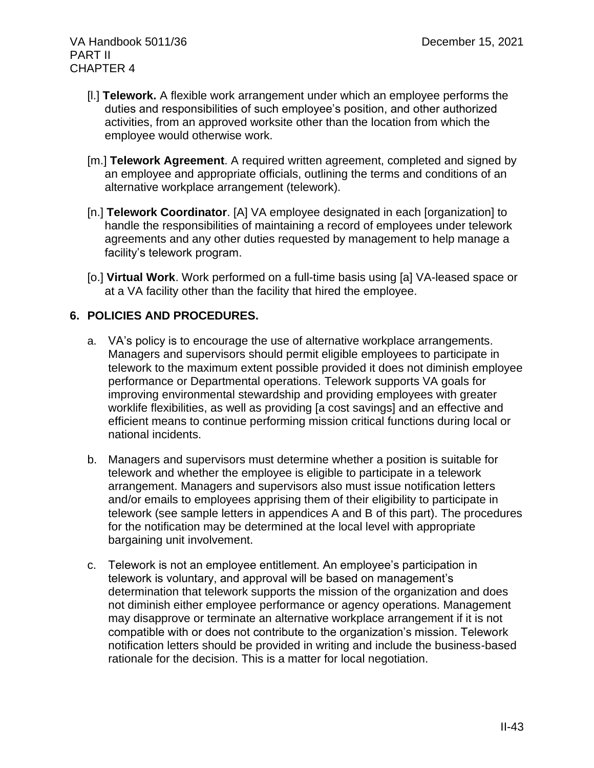- [l.] **Telework.** A flexible work arrangement under which an employee performs the duties and responsibilities of such employee's position, and other authorized activities, from an approved worksite other than the location from which the employee would otherwise work.
- [m.] **Telework Agreement**. A required written agreement, completed and signed by an employee and appropriate officials, outlining the terms and conditions of an alternative workplace arrangement (telework).
- [n.] **Telework Coordinator**. [A] VA employee designated in each [organization] to handle the responsibilities of maintaining a record of employees under telework agreements and any other duties requested by management to help manage a facility's telework program.
- [o.] **Virtual Work**. Work performed on a full-time basis using [a] VA-leased space or at a VA facility other than the facility that hired the employee.

# **6. POLICIES AND PROCEDURES.**

- a. VA's policy is to encourage the use of alternative workplace arrangements. Managers and supervisors should permit eligible employees to participate in telework to the maximum extent possible provided it does not diminish employee performance or Departmental operations. Telework supports VA goals for improving environmental stewardship and providing employees with greater worklife flexibilities, as well as providing [a cost savings] and an effective and efficient means to continue performing mission critical functions during local or national incidents.
- b. Managers and supervisors must determine whether a position is suitable for telework and whether the employee is eligible to participate in a telework arrangement. Managers and supervisors also must issue notification letters and/or emails to employees apprising them of their eligibility to participate in telework (see sample letters in appendices A and B of this part). The procedures for the notification may be determined at the local level with appropriate bargaining unit involvement.
- c. Telework is not an employee entitlement. An employee's participation in telework is voluntary, and approval will be based on management's determination that telework supports the mission of the organization and does not diminish either employee performance or agency operations. Management may disapprove or terminate an alternative workplace arrangement if it is not compatible with or does not contribute to the organization's mission. Telework notification letters should be provided in writing and include the business-based rationale for the decision. This is a matter for local negotiation.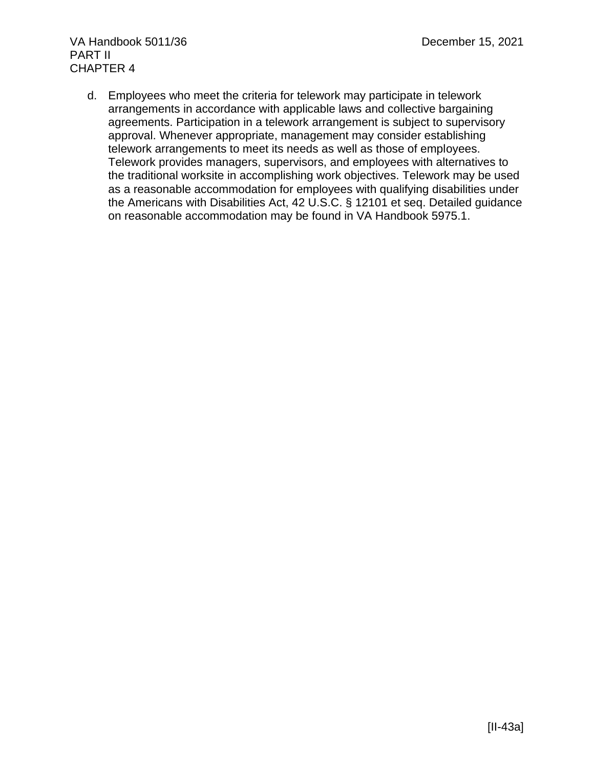d. Employees who meet the criteria for telework may participate in telework arrangements in accordance with applicable laws and collective bargaining agreements. Participation in a telework arrangement is subject to supervisory approval. Whenever appropriate, management may consider establishing telework arrangements to meet its needs as well as those of employees. Telework provides managers, supervisors, and employees with alternatives to the traditional worksite in accomplishing work objectives. Telework may be used as a reasonable accommodation for employees with qualifying disabilities under the Americans with Disabilities Act, 42 U.S.C. § 12101 et seq. Detailed guidance on reasonable accommodation may be found in VA Handbook 5975.1.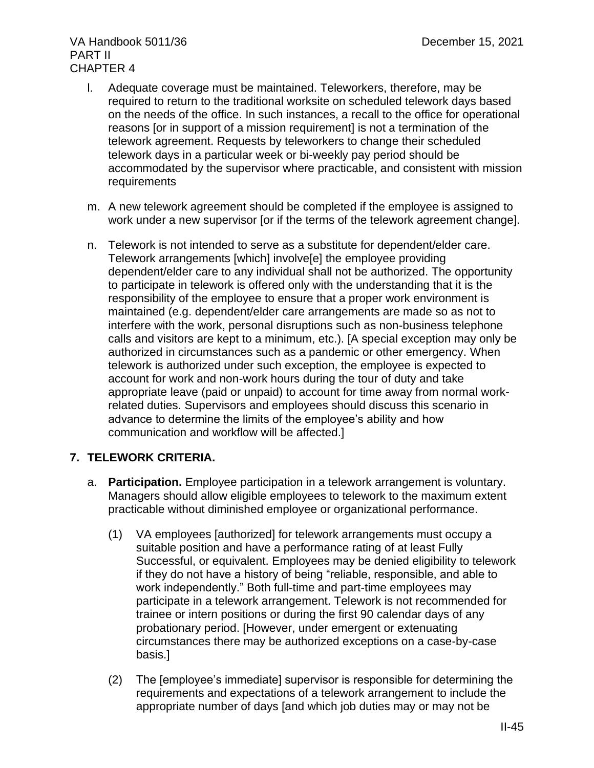- l. Adequate coverage must be maintained. Teleworkers, therefore, may be required to return to the traditional worksite on scheduled telework days based on the needs of the office. In such instances, a recall to the office for operational reasons [or in support of a mission requirement] is not a termination of the telework agreement. Requests by teleworkers to change their scheduled telework days in a particular week or bi-weekly pay period should be accommodated by the supervisor where practicable, and consistent with mission requirements
- m. A new telework agreement should be completed if the employee is assigned to work under a new supervisor [or if the terms of the telework agreement change].
- n. Telework is not intended to serve as a substitute for dependent/elder care. Telework arrangements [which] involve[e] the employee providing dependent/elder care to any individual shall not be authorized. The opportunity to participate in telework is offered only with the understanding that it is the responsibility of the employee to ensure that a proper work environment is maintained (e.g. dependent/elder care arrangements are made so as not to interfere with the work, personal disruptions such as non-business telephone calls and visitors are kept to a minimum, etc.). [A special exception may only be authorized in circumstances such as a pandemic or other emergency. When telework is authorized under such exception, the employee is expected to account for work and non-work hours during the tour of duty and take appropriate leave (paid or unpaid) to account for time away from normal workrelated duties. Supervisors and employees should discuss this scenario in advance to determine the limits of the employee's ability and how communication and workflow will be affected.]

# **7. TELEWORK CRITERIA.**

- a. **Participation.** Employee participation in a telework arrangement is voluntary. Managers should allow eligible employees to telework to the maximum extent practicable without diminished employee or organizational performance.
	- (1) VA employees [authorized] for telework arrangements must occupy a suitable position and have a performance rating of at least Fully Successful, or equivalent. Employees may be denied eligibility to telework if they do not have a history of being "reliable, responsible, and able to work independently." Both full-time and part-time employees may participate in a telework arrangement. Telework is not recommended for trainee or intern positions or during the first 90 calendar days of any probationary period. [However, under emergent or extenuating circumstances there may be authorized exceptions on a case-by-case basis.]
	- (2) The [employee's immediate] supervisor is responsible for determining the requirements and expectations of a telework arrangement to include the appropriate number of days [and which job duties may or may not be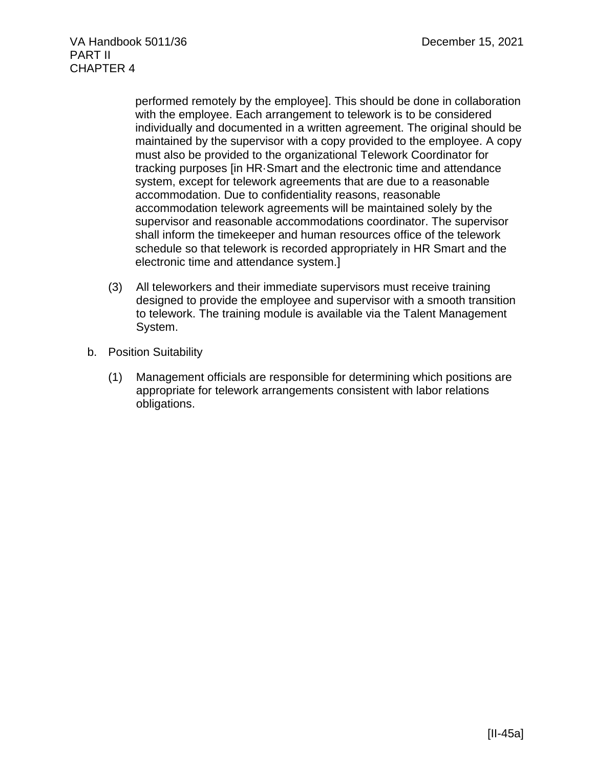> performed remotely by the employee]. This should be done in collaboration with the employee. Each arrangement to telework is to be considered individually and documented in a written agreement. The original should be maintained by the supervisor with a copy provided to the employee. A copy must also be provided to the organizational Telework Coordinator for tracking purposes [in HR·Smart and the electronic time and attendance system, except for telework agreements that are due to a reasonable accommodation. Due to confidentiality reasons, reasonable accommodation telework agreements will be maintained solely by the supervisor and reasonable accommodations coordinator. The supervisor shall inform the timekeeper and human resources office of the telework schedule so that telework is recorded appropriately in HR Smart and the electronic time and attendance system.]

- (3) All teleworkers and their immediate supervisors must receive training designed to provide the employee and supervisor with a smooth transition to telework. The training module is available via the Talent Management System.
- b. Position Suitability
	- (1) Management officials are responsible for determining which positions are appropriate for telework arrangements consistent with labor relations obligations.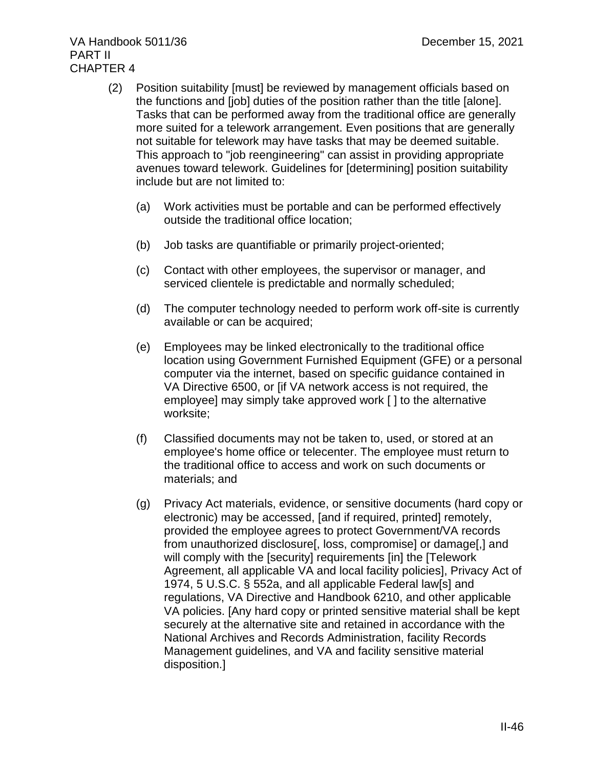- (2) Position suitability [must] be reviewed by management officials based on the functions and [job] duties of the position rather than the title [alone]. Tasks that can be performed away from the traditional office are generally more suited for a telework arrangement. Even positions that are generally not suitable for telework may have tasks that may be deemed suitable. This approach to "job reengineering" can assist in providing appropriate avenues toward telework. Guidelines for [determining] position suitability include but are not limited to:
	- (a) Work activities must be portable and can be performed effectively outside the traditional office location;
	- (b) Job tasks are quantifiable or primarily project-oriented;
	- (c) Contact with other employees, the supervisor or manager, and serviced clientele is predictable and normally scheduled;
	- (d) The computer technology needed to perform work off-site is currently available or can be acquired;
	- (e) Employees may be linked electronically to the traditional office location using Government Furnished Equipment (GFE) or a personal computer via the internet, based on specific guidance contained in VA Directive 6500, or [if VA network access is not required, the employee] may simply take approved work [ ] to the alternative worksite;
	- (f) Classified documents may not be taken to, used, or stored at an employee's home office or telecenter. The employee must return to the traditional office to access and work on such documents or materials; and
	- (g) Privacy Act materials, evidence, or sensitive documents (hard copy or electronic) may be accessed, [and if required, printed] remotely, provided the employee agrees to protect Government/VA records from unauthorized disclosure[, loss, compromise] or damage[,] and will comply with the [security] requirements [in] the [Telework Agreement, all applicable VA and local facility policies], Privacy Act of 1974, 5 U.S.C. § 552a, and all applicable Federal law[s] and regulations, VA Directive and Handbook 6210, and other applicable VA policies. [Any hard copy or printed sensitive material shall be kept securely at the alternative site and retained in accordance with the National Archives and Records Administration, facility Records Management guidelines, and VA and facility sensitive material disposition.]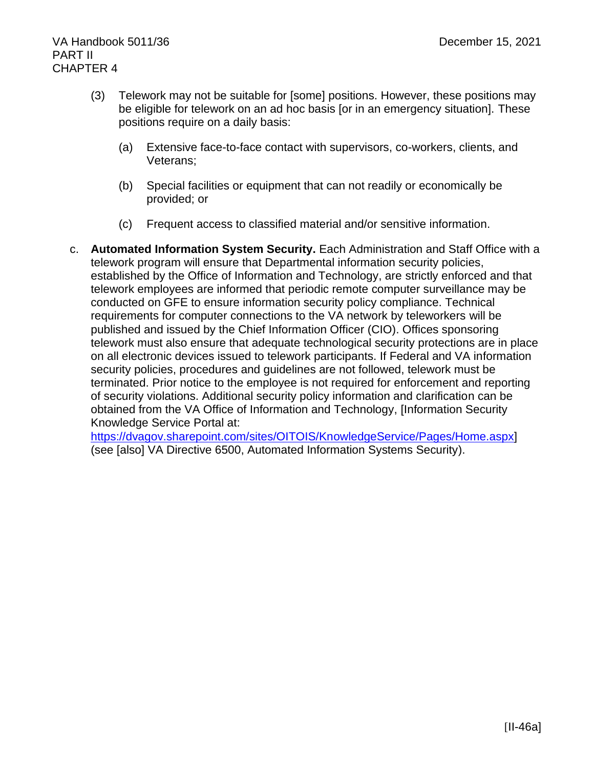- (3) Telework may not be suitable for [some] positions. However, these positions may be eligible for telework on an ad hoc basis [or in an emergency situation]. These positions require on a daily basis:
	- (a) Extensive face-to-face contact with supervisors, co-workers, clients, and Veterans;
	- (b) Special facilities or equipment that can not readily or economically be provided; or
	- (c) Frequent access to classified material and/or sensitive information.
- c. **Automated Information System Security.** Each Administration and Staff Office with a telework program will ensure that Departmental information security policies, established by the Office of Information and Technology, are strictly enforced and that telework employees are informed that periodic remote computer surveillance may be conducted on GFE to ensure information security policy compliance. Technical requirements for computer connections to the VA network by teleworkers will be published and issued by the Chief Information Officer (CIO). Offices sponsoring telework must also ensure that adequate technological security protections are in place on all electronic devices issued to telework participants. If Federal and VA information security policies, procedures and guidelines are not followed, telework must be terminated. Prior notice to the employee is not required for enforcement and reporting of security violations. Additional security policy information and clarification can be obtained from the VA Office of Information and Technology, [Information Security Knowledge Service Portal at:

[https://dvagov.sharepoint.com/sites/OITOIS/KnowledgeService/Pages/Home.aspx\]](https://dvagov.sharepoint.com/sites/OITOIS/KnowledgeService/Pages/Home.aspx) (see [also] VA Directive 6500, Automated Information Systems Security).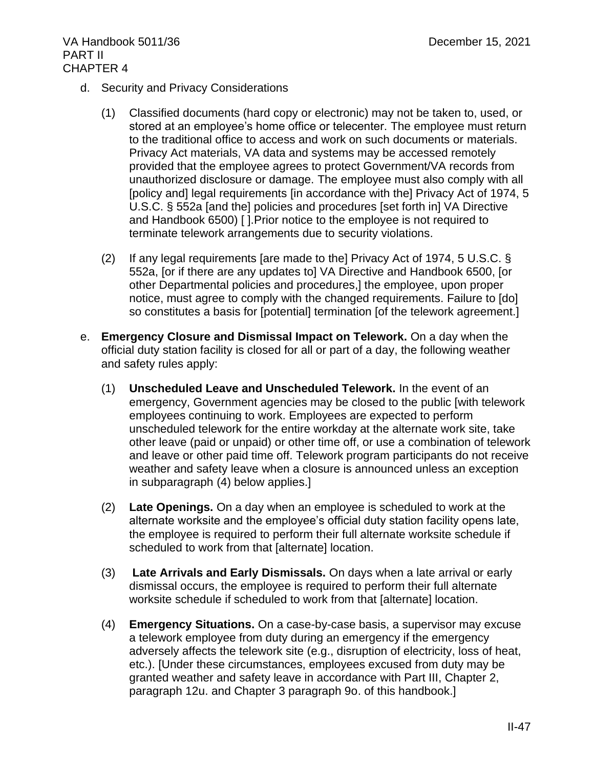- d. Security and Privacy Considerations
	- (1) Classified documents (hard copy or electronic) may not be taken to, used, or stored at an employee's home office or telecenter. The employee must return to the traditional office to access and work on such documents or materials. Privacy Act materials, VA data and systems may be accessed remotely provided that the employee agrees to protect Government/VA records from unauthorized disclosure or damage. The employee must also comply with all [policy and] legal requirements [in accordance with the] Privacy Act of 1974, 5 U.S.C. § 552a [and the] policies and procedures [set forth in] VA Directive and Handbook 6500) [ ].Prior notice to the employee is not required to terminate telework arrangements due to security violations.
	- (2) If any legal requirements [are made to the] Privacy Act of 1974, 5 U.S.C. § 552a, [or if there are any updates to] VA Directive and Handbook 6500, [or other Departmental policies and procedures,] the employee, upon proper notice, must agree to comply with the changed requirements. Failure to [do] so constitutes a basis for [potential] termination [of the telework agreement.]
- e. **Emergency Closure and Dismissal Impact on Telework.** On a day when the official duty station facility is closed for all or part of a day, the following weather and safety rules apply:
	- (1) **Unscheduled Leave and Unscheduled Telework.** In the event of an emergency, Government agencies may be closed to the public [with telework employees continuing to work. Employees are expected to perform unscheduled telework for the entire workday at the alternate work site, take other leave (paid or unpaid) or other time off, or use a combination of telework and leave or other paid time off. Telework program participants do not receive weather and safety leave when a closure is announced unless an exception in subparagraph (4) below applies.]
	- (2) **Late Openings.** On a day when an employee is scheduled to work at the alternate worksite and the employee's official duty station facility opens late, the employee is required to perform their full alternate worksite schedule if scheduled to work from that [alternate] location.
	- (3) **Late Arrivals and Early Dismissals.** On days when a late arrival or early dismissal occurs, the employee is required to perform their full alternate worksite schedule if scheduled to work from that [alternate] location.
	- (4) **Emergency Situations.** On a case-by-case basis, a supervisor may excuse a telework employee from duty during an emergency if the emergency adversely affects the telework site (e.g., disruption of electricity, loss of heat, etc.). [Under these circumstances, employees excused from duty may be granted weather and safety leave in accordance with Part III, Chapter 2, paragraph 12u. and Chapter 3 paragraph 9o. of this handbook.]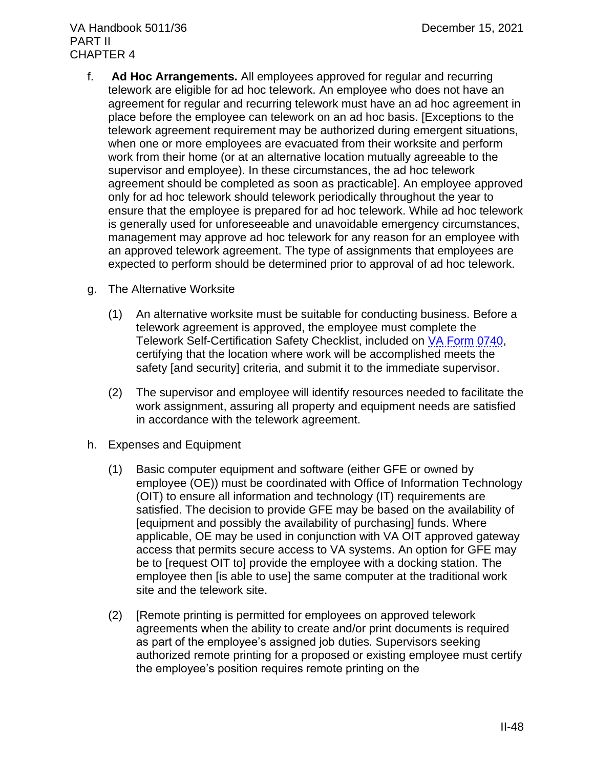- f. **Ad Hoc Arrangements.** All employees approved for regular and recurring telework are eligible for ad hoc telework. An employee who does not have an agreement for regular and recurring telework must have an ad hoc agreement in place before the employee can telework on an ad hoc basis. [Exceptions to the telework agreement requirement may be authorized during emergent situations, when one or more employees are evacuated from their worksite and perform work from their home (or at an alternative location mutually agreeable to the supervisor and employee). In these circumstances, the ad hoc telework agreement should be completed as soon as practicable]. An employee approved only for ad hoc telework should telework periodically throughout the year to ensure that the employee is prepared for ad hoc telework. While ad hoc telework is generally used for unforeseeable and unavoidable emergency circumstances, management may approve ad hoc telework for any reason for an employee with an approved telework agreement. The type of assignments that employees are expected to perform should be determined prior to approval of ad hoc telework.
- g. The Alternative Worksite
	- (1) An alternative worksite must be suitable for conducting business. Before a telework agreement is approved, the employee must complete the Telework Self-Certification Safety Checklist, included on [VA Form 0740,](http://vaww4.va.gov/vaforms/) certifying that the location where work will be accomplished meets the safety [and security] criteria, and submit it to the immediate supervisor.
	- (2) The supervisor and employee will identify resources needed to facilitate the work assignment, assuring all property and equipment needs are satisfied in accordance with the telework agreement.
- h. Expenses and Equipment
	- (1) Basic computer equipment and software (either GFE or owned by employee (OE)) must be coordinated with Office of Information Technology (OIT) to ensure all information and technology (IT) requirements are satisfied. The decision to provide GFE may be based on the availability of [equipment and possibly the availability of purchasing] funds. Where applicable, OE may be used in conjunction with VA OIT approved gateway access that permits secure access to VA systems. An option for GFE may be to [request OIT to] provide the employee with a docking station. The employee then [is able to use] the same computer at the traditional work site and the telework site.
	- (2) [Remote printing is permitted for employees on approved telework agreements when the ability to create and/or print documents is required as part of the employee's assigned job duties. Supervisors seeking authorized remote printing for a proposed or existing employee must certify the employee's position requires remote printing on the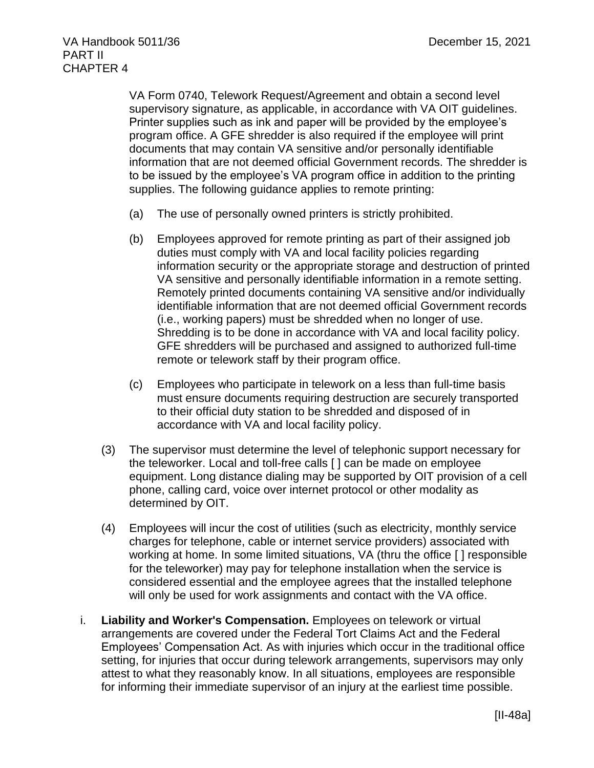VA Form 0740, Telework Request/Agreement and obtain a second level supervisory signature, as applicable, in accordance with VA OIT guidelines. Printer supplies such as ink and paper will be provided by the employee's program office. A GFE shredder is also required if the employee will print documents that may contain VA sensitive and/or personally identifiable information that are not deemed official Government records. The shredder is to be issued by the employee's VA program office in addition to the printing supplies. The following guidance applies to remote printing:

- (a) The use of personally owned printers is strictly prohibited.
- (b) Employees approved for remote printing as part of their assigned job duties must comply with VA and local facility policies regarding information security or the appropriate storage and destruction of printed VA sensitive and personally identifiable information in a remote setting. Remotely printed documents containing VA sensitive and/or individually identifiable information that are not deemed official Government records (i.e., working papers) must be shredded when no longer of use. Shredding is to be done in accordance with VA and local facility policy. GFE shredders will be purchased and assigned to authorized full-time remote or telework staff by their program office.
- (c) Employees who participate in telework on a less than full-time basis must ensure documents requiring destruction are securely transported to their official duty station to be shredded and disposed of in accordance with VA and local facility policy.
- (3) The supervisor must determine the level of telephonic support necessary for the teleworker. Local and toll-free calls [ ] can be made on employee equipment. Long distance dialing may be supported by OIT provision of a cell phone, calling card, voice over internet protocol or other modality as determined by OIT.
- (4) Employees will incur the cost of utilities (such as electricity, monthly service charges for telephone, cable or internet service providers) associated with working at home. In some limited situations, VA (thru the office [ ] responsible for the teleworker) may pay for telephone installation when the service is considered essential and the employee agrees that the installed telephone will only be used for work assignments and contact with the VA office.
- i. **Liability and Worker's Compensation.** Employees on telework or virtual arrangements are covered under the Federal Tort Claims Act and the Federal Employees' Compensation Act. As with injuries which occur in the traditional office setting, for injuries that occur during telework arrangements, supervisors may only attest to what they reasonably know. In all situations, employees are responsible for informing their immediate supervisor of an injury at the earliest time possible.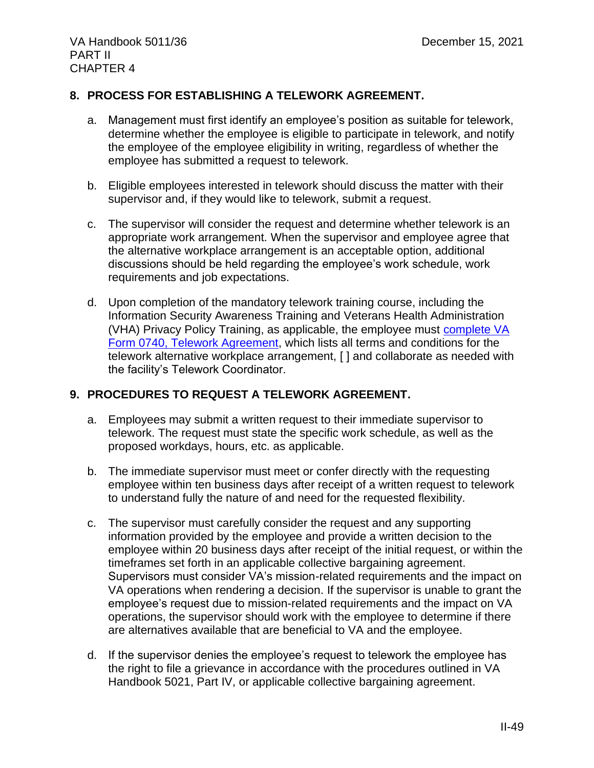# **8. PROCESS FOR ESTABLISHING A TELEWORK AGREEMENT.**

- a. Management must first identify an employee's position as suitable for telework, determine whether the employee is eligible to participate in telework, and notify the employee of the employee eligibility in writing, regardless of whether the employee has submitted a request to telework.
- b. Eligible employees interested in telework should discuss the matter with their supervisor and, if they would like to telework, submit a request.
- c. The supervisor will consider the request and determine whether telework is an appropriate work arrangement. When the supervisor and employee agree that the alternative workplace arrangement is an acceptable option, additional discussions should be held regarding the employee's work schedule, work requirements and job expectations.
- d. Upon completion of the mandatory telework training course, including the Information Security Awareness Training and Veterans Health Administration (VHA) Privacy Policy Training, as applicable, the employee must [complete VA](https://vaww.va.gov/vaforms/va/pdf/VA0740.pdf) [Form 0740, Telework Agreement,](https://vaww.va.gov/vaforms/va/pdf/VA0740.pdf) which lists all terms and conditions for the telework alternative workplace arrangement, [ ] and collaborate as needed with the facility's Telework Coordinator.

# **9. PROCEDURES TO REQUEST A TELEWORK AGREEMENT.**

- a. Employees may submit a written request to their immediate supervisor to telework. The request must state the specific work schedule, as well as the proposed workdays, hours, etc. as applicable.
- b. The immediate supervisor must meet or confer directly with the requesting employee within ten business days after receipt of a written request to telework to understand fully the nature of and need for the requested flexibility.
- c. The supervisor must carefully consider the request and any supporting information provided by the employee and provide a written decision to the employee within 20 business days after receipt of the initial request, or within the timeframes set forth in an applicable collective bargaining agreement. Supervisors must consider VA's mission-related requirements and the impact on VA operations when rendering a decision. If the supervisor is unable to grant the employee's request due to mission-related requirements and the impact on VA operations, the supervisor should work with the employee to determine if there are alternatives available that are beneficial to VA and the employee.
- d. If the supervisor denies the employee's request to telework the employee has the right to file a grievance in accordance with the procedures outlined in VA Handbook 5021, Part IV, or applicable collective bargaining agreement.